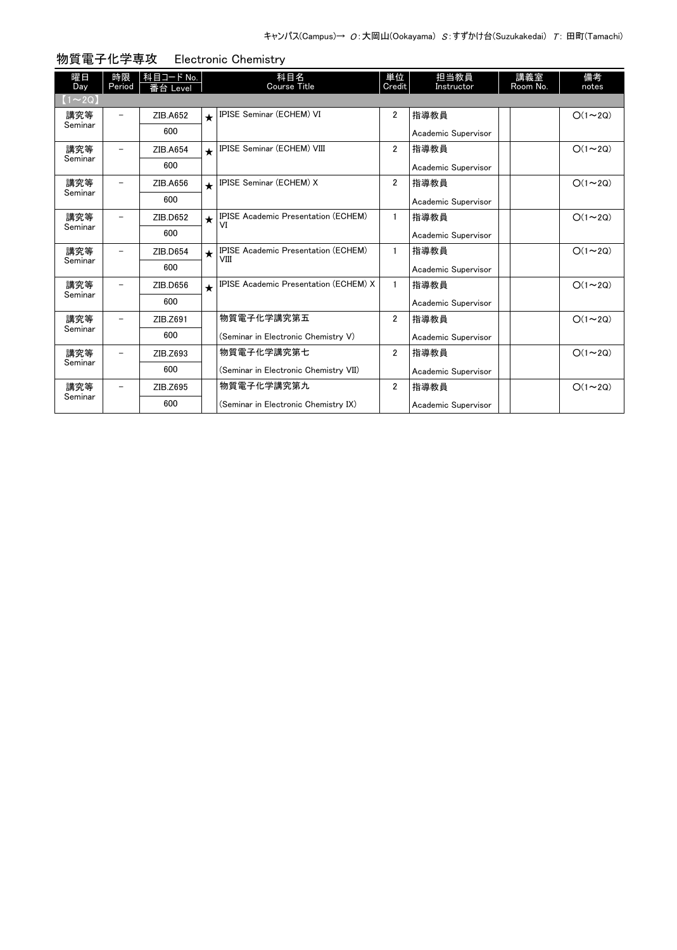| 曜日<br>Day      | 時限<br>Period             | 科目コード No.<br>番台 Level |            | 科目名<br><b>Course Title</b>                         | 単位<br>Credit   | 担当教員<br>Instructor  | 講義室<br>Room No. | 備考<br>notes   |
|----------------|--------------------------|-----------------------|------------|----------------------------------------------------|----------------|---------------------|-----------------|---------------|
| $(1\sim 2Q)$   |                          |                       |            |                                                    |                |                     |                 |               |
| 講究等            |                          | ZIB.A652              | $\bigstar$ | IPISE Seminar (ECHEM) VI                           | $\overline{2}$ | 指導教員                |                 | $O(1\sim 2Q)$ |
| Seminar        |                          | 600                   |            |                                                    |                | Academic Supervisor |                 |               |
| 講究等            | $\overline{\phantom{0}}$ | ZIB.A654              | $\star$    | IPISE Seminar (ECHEM) VIII                         | $\overline{2}$ | 指導教員                |                 | $O(1\sim 2Q)$ |
| Seminar        |                          | 600                   |            |                                                    |                | Academic Supervisor |                 |               |
| 講究等            | $\overline{\phantom{0}}$ | ZIB.A656              | $\bigstar$ | IPISE Seminar (ECHEM) X                            | $\overline{2}$ | 指導教員                |                 | $O(1\sim 2Q)$ |
| Seminar        |                          | 600                   |            |                                                    |                | Academic Supervisor |                 |               |
| 講究等            |                          | ZIB.D652              | $\star$    | <b>IPISE Academic Presentation (ECHEM)</b><br>VI   | $\mathbf{1}$   | 指導教員                |                 | $O(1\sim 2Q)$ |
| Seminar        |                          | 600                   |            |                                                    |                | Academic Supervisor |                 |               |
| 講究等<br>Seminar | -                        | ZIB.D654              | $\star$    | <b>IPISE Academic Presentation (ECHEM)</b><br>VIII | $\mathbf{1}$   | 指導教員                |                 | $O(1\sim 2Q)$ |
|                |                          | 600                   |            |                                                    |                | Academic Supervisor |                 |               |
| 講究等            | $\overline{\phantom{0}}$ | ZIB.D656              | $\star$    | <b>IPISE Academic Presentation (ECHEM) X</b>       | $\mathbf{1}$   | 指導教員                |                 | $O(1\sim 2Q)$ |
| Seminar        |                          | 600                   |            |                                                    |                | Academic Supervisor |                 |               |
| 講究等            |                          | ZIB.Z691              |            | 物質電子化学講究第五                                         | $\overline{2}$ | 指導教員                |                 | $O(1\sim 2Q)$ |
| Seminar        |                          | 600                   |            | (Seminar in Electronic Chemistry V)                |                | Academic Supervisor |                 |               |
| 講究等            |                          | ZIB.Z693              |            | 物質電子化学講究第七                                         | $\overline{2}$ | 指導教員                |                 | $O(1\sim 2Q)$ |
| Seminar        |                          | 600                   |            | (Seminar in Electronic Chemistry VII)              |                | Academic Supervisor |                 |               |
| 講究等            | -                        | ZIB.Z695              |            | 物質電子化学講究第九                                         | $\overline{2}$ | 指導教員                |                 | $O(1\sim 2Q)$ |
| Seminar        |                          | 600                   |            | (Seminar in Electronic Chemistry IX)               |                | Academic Supervisor |                 |               |

## 物質電子化学専攻 Electronic Chemistry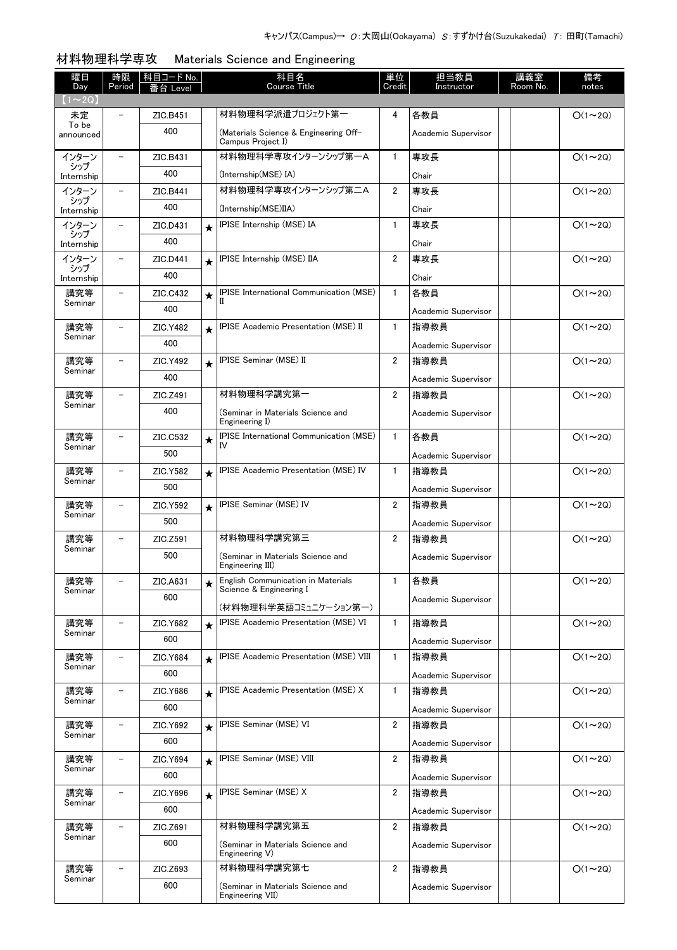| 曜日                  | 時限                       | 科目コード No. |         | 科目名<br>Course Title                                           | 単位                      | 担当教員                | 講義室      | 備考             |
|---------------------|--------------------------|-----------|---------|---------------------------------------------------------------|-------------------------|---------------------|----------|----------------|
| Day<br>$(1\sim 2Q)$ | Period                   | i台 Level  |         |                                                               | Credit                  | Instructor          | Room No. | notes          |
| 未定                  |                          | ZIC.B451  |         | 材料物理科学派遣プロジェクト第一                                              | 4                       | 各教員                 |          | $O(1\sim 2Q)$  |
| To be<br>announced  |                          | 400       |         | (Materials Science & Engineering Off-<br>Campus Project I)    |                         | Academic Supervisor |          |                |
| インターン               |                          | ZIC.B431  |         | 材料物理科学専攻インターンシップ第一A                                           | $\mathbf{1}$            | 専攻長                 |          | $O(1\sim 2Q)$  |
| シップ<br>Internship   |                          | 400       |         | (Internship(MSE) IA)                                          |                         | Chair               |          |                |
| インターン               |                          | ZIC.B441  |         | 材料物理科学専攻インターンシップ第二A                                           | $\overline{2}$          | 専攻長                 |          | $O(1\sim 2Q)$  |
| シップ<br>Internship   |                          | 400       |         | (Internship(MSE)IIA)                                          |                         | Chair               |          |                |
| インターン               | $\overline{\phantom{0}}$ | ZIC.D431  | $\star$ | IPISE Internship (MSE) IA                                     | $\mathbf{1}$            | 専攻長                 |          | $O(1\sim 2Q)$  |
| シップ<br>Internship   |                          | 400       |         |                                                               |                         | Chair               |          |                |
| インターン               |                          | ZIC.D441  | $\star$ | IPISE Internship (MSE) IIA                                    | $\overline{2}$          | 専攻長                 |          | $O(1\sim 2Q)$  |
| シップ<br>Internship   |                          | 400       |         |                                                               |                         | Chair               |          |                |
| 講究等                 |                          | ZIC.C432  | $\star$ | <b>IPISE International Communication (MSE)</b><br>H           | $\mathbf{1}$            | 各教員                 |          | $O(1\sim 2Q)$  |
| Seminar             |                          | 400       |         |                                                               |                         | Academic Supervisor |          |                |
| 講究等                 |                          | ZIC.Y482  | $\star$ | <b>IPISE Academic Presentation (MSE) II</b>                   | $\mathbf{1}$            | 指導教員                |          | $O(1\sim 2Q)$  |
| Seminar             |                          | 400       |         |                                                               |                         | Academic Supervisor |          |                |
| 講究等                 | $\overline{\phantom{0}}$ | ZIC.Y492  | $\star$ | IPISE Seminar (MSE) II                                        | $\overline{2}$          | 指導教員                |          | $O(1 \sim 2Q)$ |
| Seminar             |                          | 400       |         |                                                               |                         | Academic Supervisor |          |                |
| 講究等                 |                          | ZIC.Z491  |         | 材料物理科学講究第一                                                    | $\overline{2}$          | 指導教員                |          | $O(1\sim 2Q)$  |
| Seminar             |                          | 400       |         | (Seminar in Materials Science and<br>Engineering I)           |                         | Academic Supervisor |          |                |
| 講究等<br>Seminar      |                          | ZIC.C532  | $\star$ | <b>IPISE International Communication (MSE)</b><br>IV          | $\mathbf{1}$            | 各教員                 |          | $O(1\sim 2Q)$  |
|                     |                          | 500       |         |                                                               |                         | Academic Supervisor |          |                |
| 講究等<br>Seminar      | -                        | ZIC.Y582  | $\star$ | <b>IPISE Academic Presentation (MSE) IV</b>                   | $\mathbf{1}$            | 指導教員                |          | $O(1\sim 2Q)$  |
|                     |                          | 500       |         |                                                               |                         | Academic Supervisor |          |                |
| 講究等<br>Seminar      | $\overline{\phantom{a}}$ | ZIC.Y592  | $\star$ | IPISE Seminar (MSE) IV                                        | $\overline{2}$          | 指導教員                |          | $O(1\sim 2Q)$  |
|                     |                          | 500       |         |                                                               |                         | Academic Supervisor |          |                |
| 講究等<br>Seminar      | $\qquad \qquad -$        | ZIC.Z591  |         | 材料物理科学講究第三                                                    | $\overline{2}$          | 指導教員                |          | $O(1\sim 2Q)$  |
|                     |                          | 500       |         | (Seminar in Materials Science and<br>Engineering III)         |                         | Academic Supervisor |          |                |
| 講究等<br>Seminar      |                          | ZIC.A631  | $\star$ | English Communication in Materials<br>Science & Engineering I | 1                       | 各教員                 |          | $O(1\sim 2Q)$  |
|                     |                          | 600       |         | (材料物理科学英語コミュニケーション第一)                                         |                         | Academic Supervisor |          |                |
| 講究等                 |                          | ZIC.Y682  | $\star$ | <b>IPISE Academic Presentation (MSE) VI</b>                   | $\mathbf{1}$            | 指導教員                |          | $O(1\sim 2Q)$  |
| Seminar             |                          | 600       |         |                                                               |                         | Academic Supervisor |          |                |
| 講究等                 |                          | ZIC.Y684  | $\star$ | IPISE Academic Presentation (MSE) VIII                        | $\mathbf{1}$            | 指導教員                |          | $O(1\sim 2Q)$  |
| Seminar             |                          | 600       |         |                                                               |                         | Academic Supervisor |          |                |
| 講究等                 |                          | ZIC.Y686  | $\star$ | IPISE Academic Presentation (MSE) X                           | $\mathbf{1}$            | 指導教員                |          | $O(1\sim 2Q)$  |
| Seminar             |                          | 600       |         |                                                               |                         | Academic Supervisor |          |                |
| 講究等                 |                          | ZIC.Y692  | $\star$ | <b>IPISE Seminar (MSE) VI</b>                                 | $\overline{\mathbf{2}}$ | 指導教員                |          | $O(1\sim 2Q)$  |
| Seminar             |                          | 600       |         |                                                               |                         | Academic Supervisor |          |                |
| 講究等                 |                          | ZIC.Y694  | $\star$ | IPISE Seminar (MSE) VIII                                      | $\overline{\mathbf{2}}$ | 指導教員                |          | $O(1\sim 2Q)$  |
| Seminar             |                          | 600       |         |                                                               |                         | Academic Supervisor |          |                |
| 講究等                 |                          | ZIC.Y696  | $\star$ | <b>IPISE Seminar (MSE) X</b>                                  | 2                       | 指導教員                |          | $O(1\sim 2Q)$  |
| Seminar             |                          | 600       |         |                                                               |                         | Academic Supervisor |          |                |
| 講究等                 |                          | ZIC.Z691  |         | 材料物理科学講究第五                                                    | 2                       | 指導教員                |          | $O(1\sim 2Q)$  |
| Seminar             |                          | 600       |         | (Seminar in Materials Science and                             |                         | Academic Supervisor |          |                |
|                     |                          |           |         | Engineering V)                                                |                         |                     |          |                |
| 講究等<br>Seminar      | $\overline{\phantom{0}}$ | ZIC.Z693  |         | 材料物理科学講究第七                                                    | 2                       | 指導教員                |          | $O(1\sim 2Q)$  |
|                     |                          | 600       |         | (Seminar in Materials Science and<br>Engineering VII)         |                         | Academic Supervisor |          |                |

# 材料物理科学専攻 Materials Science and Engineering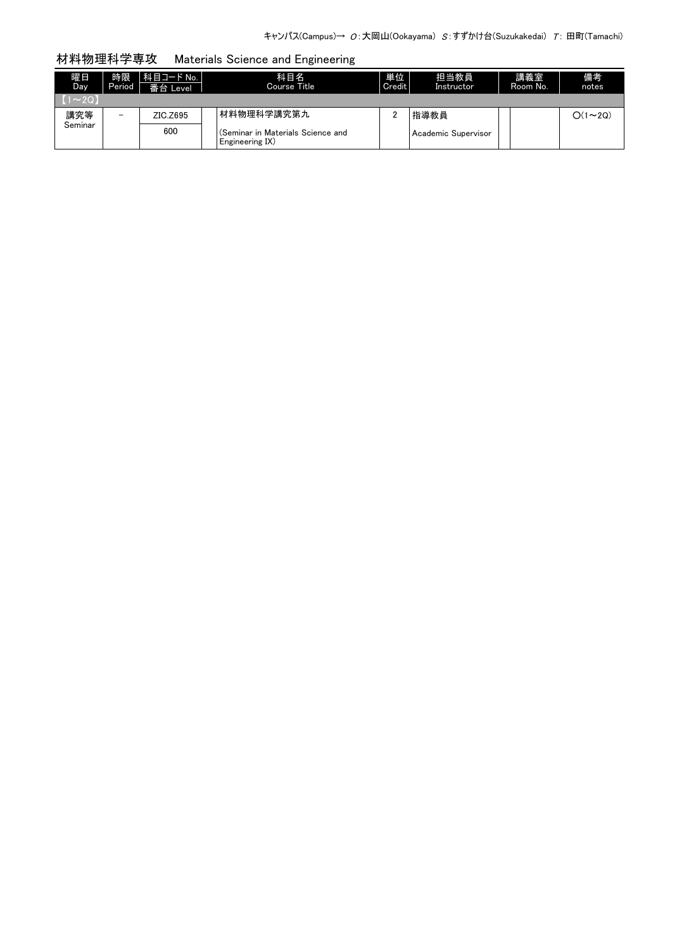### 材料物理科学専攻 Materials Science and Engineering

| 曜日<br>Day   | 時限<br>Period             | 科目コード No.  <br>番台 Level | 科目名<br>Course Title                                  | 単位<br>Credit | 担当教員<br>Instructor    | 講義室<br>Room No. | 備考<br>notes   |
|-------------|--------------------------|-------------------------|------------------------------------------------------|--------------|-----------------------|-----------------|---------------|
| $1 \sim 2Q$ |                          |                         |                                                      |              |                       |                 |               |
| 講究等         | $\overline{\phantom{0}}$ | ZIC.Z695                | 材料物理科学講究第九                                           |              | 指導教員                  |                 | $O(1\sim 2Q)$ |
| Seminar     |                          | 600                     | (Seminar in Materials Science and<br>Engineering IX) |              | l Academic Supervisor |                 |               |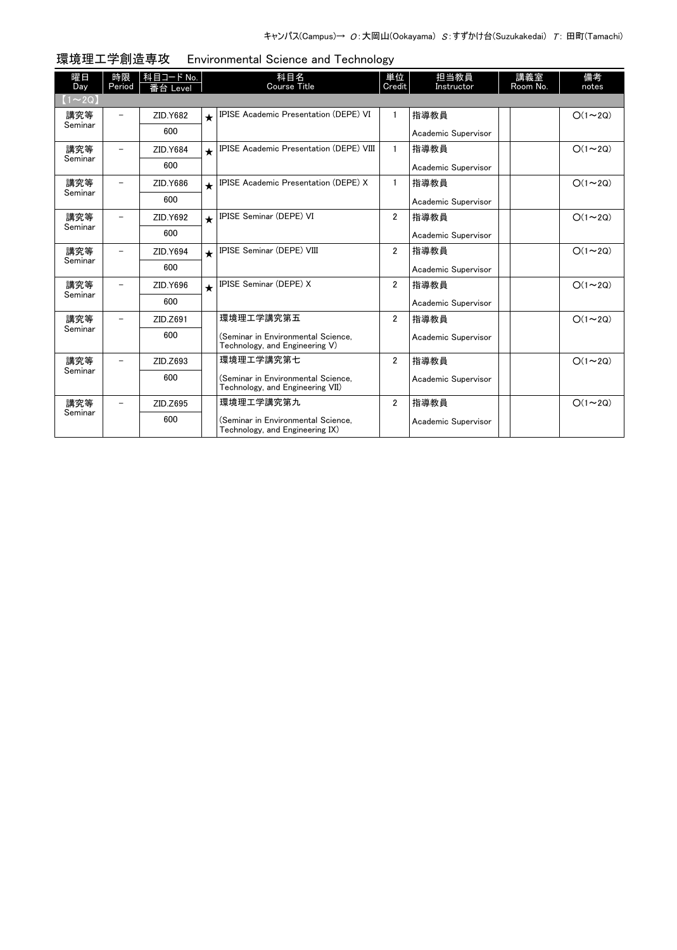| 曜日<br>Day      | 時限<br>Period             | 科目コード No.<br>番台 Level |            | 科目名<br><b>Course Title</b>                                             | 単位<br>Credit   | 担当教員<br>Instructor  | 講義室<br>Room No. | 備考<br>notes   |
|----------------|--------------------------|-----------------------|------------|------------------------------------------------------------------------|----------------|---------------------|-----------------|---------------|
| $(1\sim20)$    |                          |                       |            |                                                                        |                |                     |                 |               |
| 講究等            | $\overline{\phantom{0}}$ | ZID.Y682              | $\bigstar$ | <b>IPISE Academic Presentation (DEPE) VI</b>                           | $\mathbf{1}$   | 指導教員                |                 | $O(1\sim 2Q)$ |
| Seminar        |                          | 600                   |            |                                                                        |                | Academic Supervisor |                 |               |
| 講究等<br>Seminar | $\overline{\phantom{0}}$ | ZID.Y684              | $\bigstar$ | <b>IPISE Academic Presentation (DEPE) VIII</b>                         | $\mathbf{1}$   | 指導教員                |                 | $O(1\sim 2Q)$ |
|                |                          | 600                   |            |                                                                        |                | Academic Supervisor |                 |               |
| 講究等            | $\overline{\phantom{0}}$ | ZID.Y686              | $\bigstar$ | IPISE Academic Presentation (DEPE) X                                   | $\mathbf{1}$   | 指導教員                |                 | $O(1\sim 2Q)$ |
| Seminar        |                          | 600                   |            |                                                                        |                | Academic Supervisor |                 |               |
| 講究等<br>Seminar | -                        | ZID.Y692              | $\bigstar$ | <b>IPISE Seminar (DEPE) VI</b>                                         | $\overline{2}$ | 指導教員                |                 | $O(1\sim 2Q)$ |
|                |                          | 600                   |            |                                                                        |                | Academic Supervisor |                 |               |
| 講究等            |                          | ZID.Y694              | $\star$    | <b>IPISE Seminar (DEPE) VIII</b>                                       | $\overline{2}$ | 指導教員                |                 | $O(1\sim 2Q)$ |
| Seminar        |                          | 600                   |            |                                                                        |                | Academic Supervisor |                 |               |
| 講究等            |                          | ZID.Y696              | $\bigstar$ | IPISE Seminar (DEPE) X                                                 | $\overline{2}$ | 指導教員                |                 | $O(1\sim 2Q)$ |
| Seminar        |                          | 600                   |            |                                                                        |                | Academic Supervisor |                 |               |
| 講究等            |                          | ZID.Z691              |            | 環境理工学講究第五                                                              | $\overline{2}$ | 指導教員                |                 | $O(1\sim 2Q)$ |
| Seminar        |                          | 600                   |            | (Seminar in Environmental Science.<br>Technology, and Engineering V)   |                | Academic Supervisor |                 |               |
| 講究等            | $\overline{\phantom{0}}$ | ZID.Z693              |            | 環境理工学講究第七                                                              | $\overline{2}$ | 指導教員                |                 | $O(1\sim 2Q)$ |
| Seminar        |                          | 600                   |            | (Seminar in Environmental Science,<br>Technology, and Engineering VII) |                | Academic Supervisor |                 |               |
| 講究等            |                          | ZID.Z695              |            | 環境理工学講究第九                                                              | $\overline{2}$ | 指導教員                |                 | $O(1\sim 2Q)$ |
| Seminar        |                          | 600                   |            | (Seminar in Environmental Science,<br>Technology, and Engineering IX)  |                | Academic Supervisor |                 |               |

環境理工学創造専攻 Environmental Science and Technology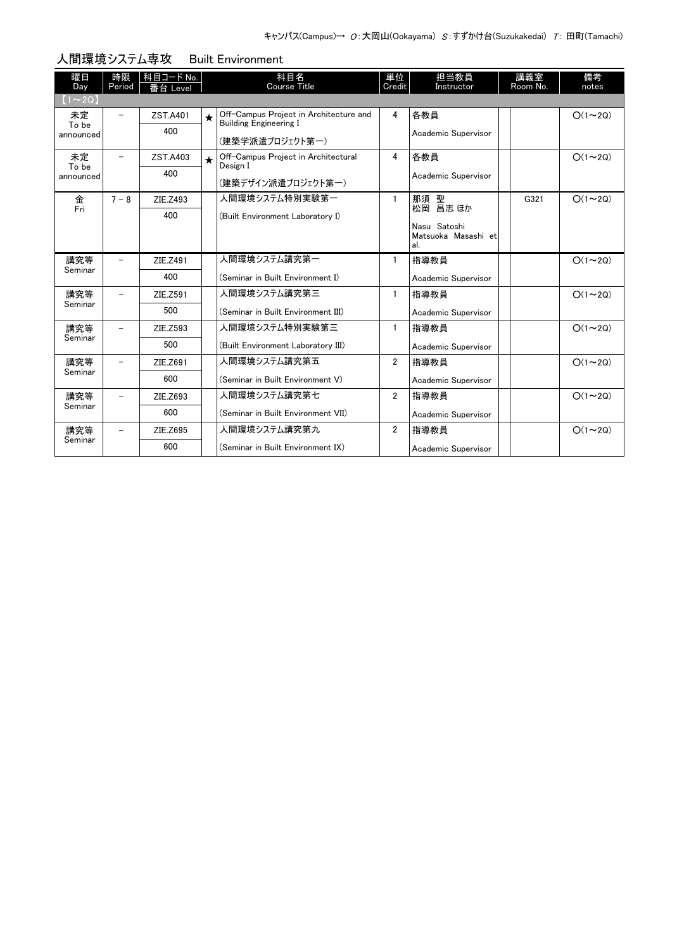| 曜日             | 時限      | 科目コード No. |         | 科目名                                                                     | 単位             | 担当教員                                | 講義室      | 備考            |
|----------------|---------|-----------|---------|-------------------------------------------------------------------------|----------------|-------------------------------------|----------|---------------|
| Day            | Period  | 番台 Level  |         | <b>Course Title</b>                                                     | Credit         | Instructor                          | Room No. | notes         |
| $(1\sim 2Q)$   |         |           |         |                                                                         |                |                                     |          |               |
| 未定<br>To be    | -       | ZST.A401  | $\star$ | Off-Campus Project in Architecture and<br><b>Building Engineering I</b> | 4              | 各教員                                 |          | $O(1\sim 2Q)$ |
| announced      |         | 400       |         |                                                                         |                | Academic Supervisor                 |          |               |
|                |         |           |         | (建築学派遣プロジェクト第一)                                                         |                |                                     |          |               |
| 未定<br>To be    | -       | ZST.A403  | $\star$ | Off-Campus Project in Architectural<br>Design I                         | 4              | 各教員                                 |          | $O(1\sim 2Q)$ |
| announced      |         | 400       |         |                                                                         |                | Academic Supervisor                 |          |               |
|                |         |           |         | (建築デザイン派遣プロジェクト第一)                                                      |                |                                     |          |               |
| 金<br>Fri       | $7 - 8$ | ZIE.Z493  |         | 人間環境システム特別実験第一                                                          | 1              | 那須 聖<br>松岡 昌志 ほか                    | G321     | $O(1\sim 2Q)$ |
|                |         | 400       |         | (Built Environment Laboratory I)                                        |                |                                     |          |               |
|                |         |           |         |                                                                         |                | Nasu Satoshi<br>Matsuoka Masashi et |          |               |
|                |         |           |         |                                                                         |                | al.                                 |          |               |
| 講究等            |         | ZIE.Z491  |         | 人間環境システム講究第一                                                            | 1              | 指導教員                                |          | $O(1\sim 2Q)$ |
| Seminar        |         | 400       |         | (Seminar in Built Environment I)                                        |                | Academic Supervisor                 |          |               |
| 講究等<br>Seminar |         | ZIE.Z591  |         | 人間環境システム講究第三                                                            | 1              | 指導教員                                |          | $O(1\sim 2Q)$ |
|                |         | 500       |         | (Seminar in Built Environment III)                                      |                | Academic Supervisor                 |          |               |
| 講究等<br>Seminar |         | ZIE.Z593  |         | 人間環境システム特別実験第三                                                          | $\mathbf{1}$   | 指導教員                                |          | $O(1\sim 2Q)$ |
|                |         | 500       |         | (Built Environment Laboratory III)                                      |                | Academic Supervisor                 |          |               |
| 講究等<br>Seminar | Ξ.      | ZIE.Z691  |         | 人間環境システム講究第五                                                            | $\overline{2}$ | 指導教員                                |          | $O(1\sim 2Q)$ |
|                |         | 600       |         | (Seminar in Built Environment V)                                        |                | Academic Supervisor                 |          |               |
| 講究等            |         | ZIE.Z693  |         | 人間環境システム講究第七                                                            | $\overline{2}$ | 指導教員                                |          | $O(1\sim 2Q)$ |
| Seminar        |         | 600       |         | (Seminar in Built Environment VII)                                      |                | Academic Supervisor                 |          |               |
| 講究等            |         | ZIE.Z695  |         | 人間環境システム講究第九                                                            | $\overline{2}$ | 指導教員                                |          | $O(1\sim 2Q)$ |
| Seminar        |         | 600       |         | (Seminar in Built Environment IX)                                       |                | Academic Supervisor                 |          |               |

### 人間環境システム専攻 Built Environment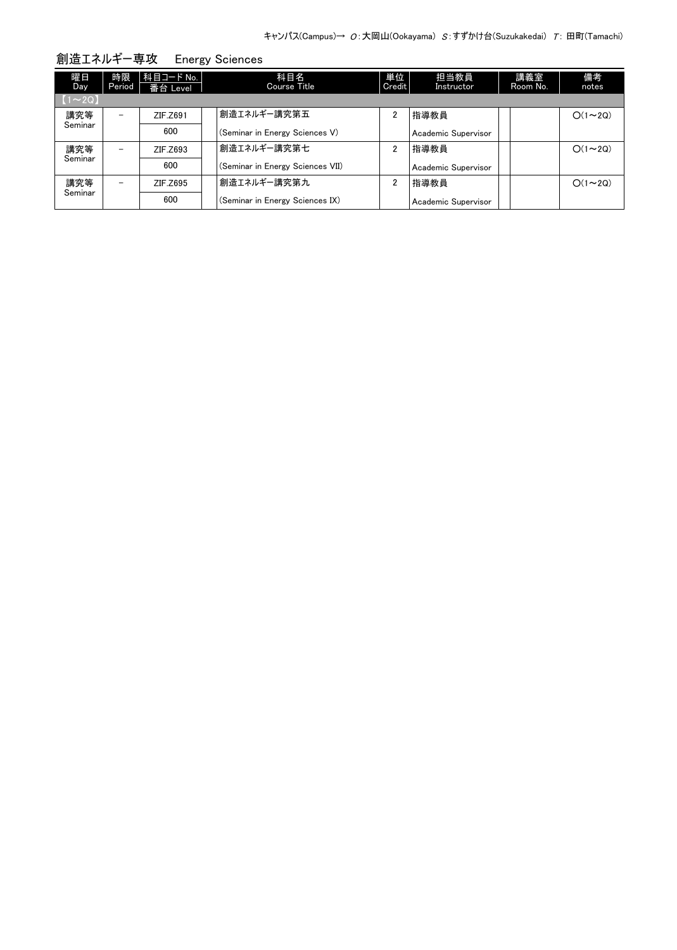| 曜日<br>Day <sup>1</sup> | 時限<br>Period | 科目コード No.  <br>番台 Level | 科目名<br>Course Title              | 単位<br>Credit   | 担当教員<br>Instructor  | 講義室<br>Room No. | 備考<br>notes   |
|------------------------|--------------|-------------------------|----------------------------------|----------------|---------------------|-----------------|---------------|
| $(1\sim 2Q)$           |              |                         |                                  |                |                     |                 |               |
| 講究等                    |              | ZIF.Z691                | 創造エネルギー講究第五                      | 2              | 指導教員                |                 | $O(1\sim 2Q)$ |
| Seminar                |              | 600                     | (Seminar in Energy Sciences V)   |                | Academic Supervisor |                 |               |
| 講究等                    |              | ZIF.Z693                | 創造エネルギー講究第七                      | 2              | 指導教員                |                 | $O(1\sim 2Q)$ |
| Seminar                |              | 600                     | (Seminar in Energy Sciences VII) |                | Academic Supervisor |                 |               |
| 講究等                    | -            | ZIF.Z695                | 創造エネルギー講究第九                      | $\overline{2}$ | 指導教員                |                 | $O(1\sim 2Q)$ |
| Seminar                |              | 600                     | (Seminar in Energy Sciences IX)  |                | Academic Supervisor |                 |               |

創造エネルギー専攻 Energy Sciences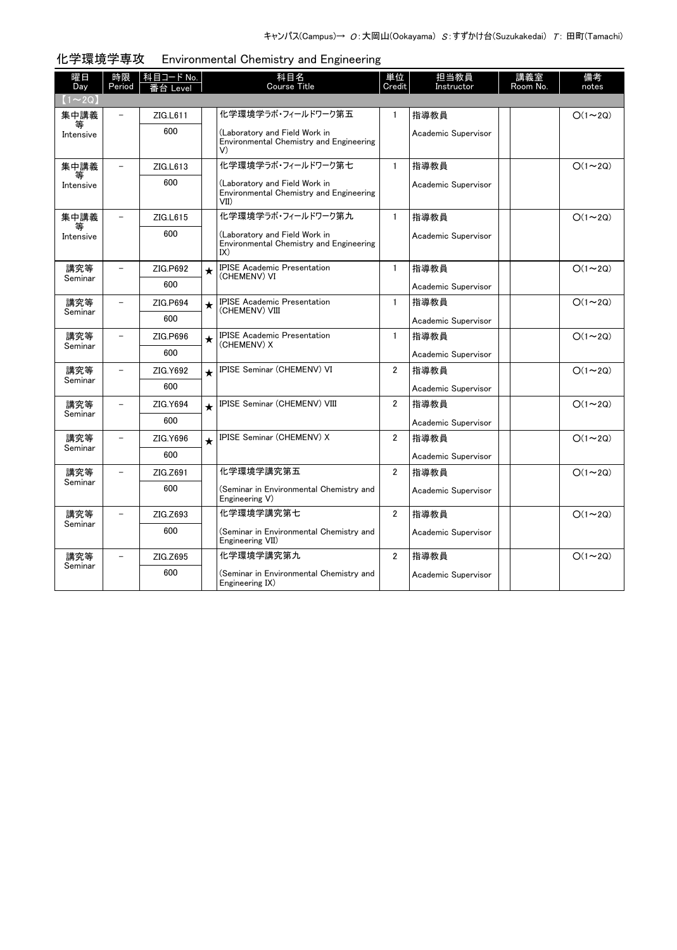| 曜日<br>Day      | 時限<br>Period             | 科目コード No.<br>全台 Level |         | 科目名<br><b>Course Title</b>                                                       | 単位<br>Credit   | 担当教員<br>Instructor  | 講義室<br>Room No. | 備考<br>notes    |
|----------------|--------------------------|-----------------------|---------|----------------------------------------------------------------------------------|----------------|---------------------|-----------------|----------------|
| $(1\sim2Q)$    |                          |                       |         |                                                                                  |                |                     |                 |                |
| 集中講義           |                          | ZIG.L611              |         | 化学環境学うボ・フィールドワーク第五                                                               | $\mathbf{1}$   | 指導教員                |                 | $O(1\sim 2Q)$  |
| Intensive      |                          | 600                   |         | (Laboratory and Field Work in<br>Environmental Chemistry and Engineering<br>V)   |                | Academic Supervisor |                 |                |
| 集中講義           |                          | ZIG.L613              |         | 化学環境学うボ・フィールドワーク第七                                                               | $\mathbf{1}$   | 指導教員                |                 | $O(1 \sim 2Q)$ |
| 等<br>Intensive |                          | 600                   |         | (Laboratory and Field Work in<br>Environmental Chemistry and Engineering<br>VII) |                | Academic Supervisor |                 |                |
| 集中講義           | $\overline{\phantom{0}}$ | ZIG.L615              |         | 化学環境学うボ・フィールドワーク第九                                                               | $\mathbf{1}$   | 指導教員                |                 | $O(1\sim 2Q)$  |
| 等<br>Intensive |                          | 600                   |         | (Laboratory and Field Work in<br>Environmental Chemistry and Engineering<br>IX)  |                | Academic Supervisor |                 |                |
| 講究等            |                          | ZIG.P692              | $\star$ | <b>IPISE Academic Presentation</b><br>(CHEMENV) VI                               | $\mathbf{1}$   | 指導教員                |                 | $O(1\sim 2Q)$  |
| Seminar        |                          | 600                   |         |                                                                                  |                | Academic Supervisor |                 |                |
| 講究等            | $\overline{\phantom{0}}$ | ZIG.P694              | $\star$ | <b>IPISE Academic Presentation</b><br>(CHEMENV) VIII                             | $\mathbf{1}$   | 指導教員                |                 | $O(1\sim 2Q)$  |
| Seminar        |                          | 600                   |         |                                                                                  |                | Academic Supervisor |                 |                |
| 講究等            | $\overline{\phantom{a}}$ | ZIG.P696              | $\star$ | <b>IPISE Academic Presentation</b><br>(CHEMENV) X                                | $\mathbf{1}$   | 指導教員                |                 | $O(1\sim 2Q)$  |
| Seminar        |                          | 600                   |         |                                                                                  |                | Academic Supervisor |                 |                |
| 講究等            | $\overline{\phantom{0}}$ | ZIG.Y692              | $\star$ | IPISE Seminar (CHEMENV) VI                                                       | $\overline{2}$ | 指導教員                |                 | $O(1\sim 2Q)$  |
| Seminar        |                          | 600                   |         |                                                                                  |                | Academic Supervisor |                 |                |
| 講究等            |                          | ZIG.Y694              | $\star$ | IPISE Seminar (CHEMENV) VIII                                                     | $\overline{2}$ | 指導教員                |                 | $O(1 \sim 2Q)$ |
| Seminar        |                          | 600                   |         |                                                                                  |                | Academic Supervisor |                 |                |
| 講究等            |                          | ZIG.Y696              | $\star$ | IPISE Seminar (CHEMENV) X                                                        | $\overline{2}$ | 指導教員                |                 | $O(1\sim 2Q)$  |
| Seminar        |                          | 600                   |         |                                                                                  |                | Academic Supervisor |                 |                |
| 講究等            |                          | ZIG.Z691              |         | 化学環境学講究第五                                                                        | $\overline{2}$ | 指導教員                |                 | $O(1\sim 2Q)$  |
| Seminar        |                          | 600                   |         | (Seminar in Environmental Chemistry and<br>Engineering V)                        |                | Academic Supervisor |                 |                |
| 講究等<br>Seminar |                          | ZIG.Z693              |         | 化学環境学講究第七                                                                        | $\overline{2}$ | 指導教員                |                 | $O(1\sim 2Q)$  |
|                |                          | 600                   |         | (Seminar in Environmental Chemistry and<br>Engineering VII)                      |                | Academic Supervisor |                 |                |
| 講究等<br>Seminar | $\overline{\phantom{a}}$ | ZIG.Z695              |         | 化学環境学講究第九                                                                        | $\overline{2}$ | 指導教員                |                 | $O(1\sim 2Q)$  |
|                |                          | 600                   |         | (Seminar in Environmental Chemistry and<br>Engineering IX)                       |                | Academic Supervisor |                 |                |

#### 化学環境学専攻 Environmental Chemistry and Engineering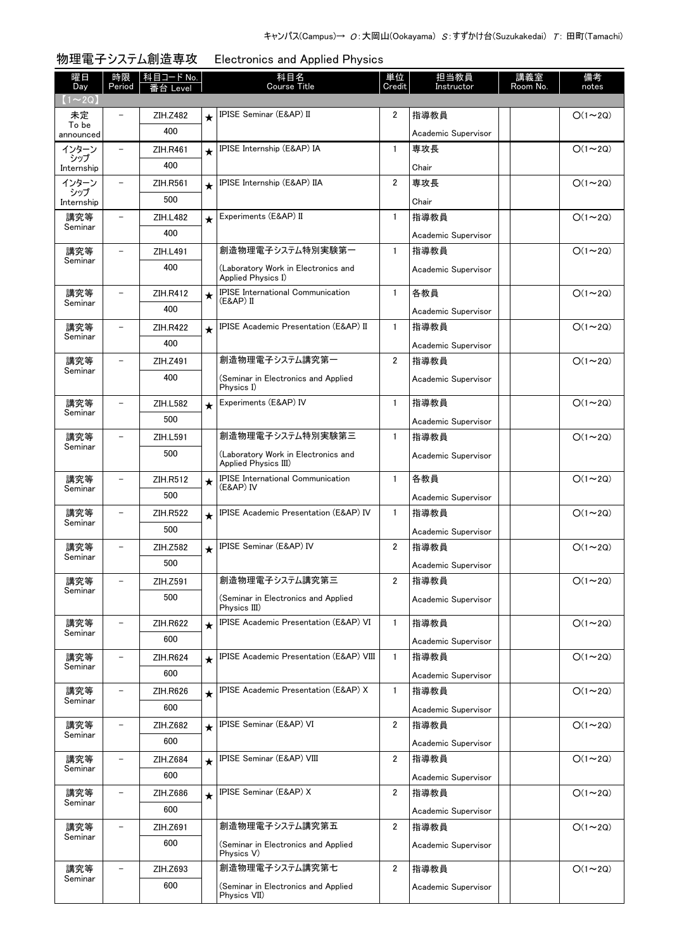| 曜日<br>Day         | 時限<br>Period             | 科目コード No.<br>番台 Level |         | 科目名<br><b>Course Title</b>                                  | 単位<br>Credit   | 担当教員<br>Instructor  | 講義室<br>Room No. | 備考<br>notes    |
|-------------------|--------------------------|-----------------------|---------|-------------------------------------------------------------|----------------|---------------------|-----------------|----------------|
| $(1\sim 2Q)$      |                          |                       |         |                                                             |                |                     |                 |                |
| 未定<br>To be       |                          | ZIH.Z482              | $\star$ | IPISE Seminar (E&AP) II                                     | 2              | 指導教員                |                 | $O(1\sim 2Q)$  |
| announced         |                          | 400                   |         |                                                             |                | Academic Supervisor |                 |                |
| インターン<br>シップ      |                          | ZIH.R461              | $\star$ | IPISE Internship (E&AP) IA                                  | $\mathbf{1}$   | 専攻長                 |                 | $O(1\sim 2Q)$  |
| Internship        |                          | 400                   |         |                                                             |                | Chair               |                 |                |
| インターン             | $\overline{\phantom{0}}$ | ZIH.R561              | $\star$ | IPISE Internship (E&AP) IIA                                 | $\overline{2}$ | 専攻長                 |                 | $O(1\sim 2Q)$  |
| シップ<br>Internship |                          | 500                   |         |                                                             |                | Chair               |                 |                |
| 講究等               | $\overline{\phantom{0}}$ | ZIH.L482              | $\star$ | Experiments (E&AP) II                                       | $\mathbf{1}$   | 指導教員                |                 | $O(1\sim 2Q)$  |
| Seminar           |                          | 400                   |         |                                                             |                | Academic Supervisor |                 |                |
| 講究等               |                          | ZIH.L491              |         | 創造物理電子システム特別実験第一                                            | $\mathbf{1}$   | 指導教員                |                 | $O(1\sim 2Q)$  |
| Seminar           |                          | 400                   |         | (Laboratory Work in Electronics and                         |                | Academic Supervisor |                 |                |
|                   |                          |                       |         | Applied Physics I)                                          |                |                     |                 |                |
| 講究等<br>Seminar    | $\overline{\phantom{0}}$ | <b>ZIH.R412</b>       | $\star$ | <b>IPISE International Communication</b><br>(E&AP) II       | $\mathbf{1}$   | 各教員                 |                 | $O(1\sim 2Q)$  |
|                   |                          | 400                   |         |                                                             |                | Academic Supervisor |                 |                |
| 講究等<br>Seminar    | $\overline{\phantom{0}}$ | <b>ZIH.R422</b>       | $\star$ | <b>IPISE Academic Presentation (E&amp;AP) II</b>            | $\mathbf{1}$   | 指導教員                |                 | $O(1\sim 2Q)$  |
|                   |                          | 400                   |         |                                                             |                | Academic Supervisor |                 |                |
| 講究等<br>Seminar    |                          | ZIH.Z491              |         | 創造物理電子システム講究第一                                              | $\overline{2}$ | 指導教員                |                 | $O(1\sim 2Q)$  |
|                   |                          | 400                   |         | (Seminar in Electronics and Applied<br>Physics I)           |                | Academic Supervisor |                 |                |
| 講究等               | $\overline{\phantom{0}}$ | ZIH.L582              | $\star$ | Experiments (E&AP) IV                                       | $\mathbf{1}$   | 指導教員                |                 | $O(1\sim 2Q)$  |
| Seminar           |                          | 500                   |         |                                                             |                | Academic Supervisor |                 |                |
| 講究等               |                          | ZIH.L591              |         | 創造物理電子システム特別実験第三                                            | $\mathbf{1}$   | 指導教員                |                 | $O(1\sim 2Q)$  |
| Seminar           |                          | 500                   |         | (Laboratory Work in Electronics and<br>Applied Physics III) |                | Academic Supervisor |                 |                |
| 講究等               |                          | ZIH.R512              | $\star$ | <b>IPISE</b> International Communication                    | $\mathbf{1}$   | 各教員                 |                 | $O(1\sim 2Q)$  |
| Seminar           |                          | 500                   |         | (E&AP) IV                                                   |                | Academic Supervisor |                 |                |
| 講究等               |                          | <b>ZIH.R522</b>       | $\star$ | <b>IPISE Academic Presentation (E&amp;AP) IV</b>            | $\mathbf{1}$   | 指導教員                |                 | $O(1\sim 2Q)$  |
| Seminar           |                          | 500                   |         |                                                             |                | Academic Supervisor |                 |                |
| 講究等               |                          | ZIH.Z582              | $\star$ | IPISE Seminar (E&AP) IV                                     | $\overline{2}$ | 指導教員                |                 | $O(1\sim 2Q)$  |
| Seminar           |                          | 500                   |         |                                                             |                | Academic Supervisor |                 |                |
| 講究等               |                          | ZIH.Z591              |         | 創造物理電子システム講究第三                                              | $\overline{2}$ | 指導教員                |                 | $O(1\sim 2Q)$  |
| Seminar           |                          | 500                   |         | (Seminar in Electronics and Applied                         |                | Academic Supervisor |                 |                |
|                   |                          |                       |         | Physics III)                                                |                |                     |                 |                |
| 講究等               |                          | ZIH.R622              | $\star$ | IPISE Academic Presentation (E&AP) VI                       | $\mathbf{1}$   | 指導教員                |                 | $O(1\sim 2Q)$  |
| Seminar           |                          | 600                   |         |                                                             |                | Academic Supervisor |                 |                |
| 講究等               |                          | ZIH.R624              | $\star$ | IPISE Academic Presentation (E&AP) VIII                     | $\mathbf{1}$   | 指導教員                |                 | $O(1\sim 2Q)$  |
| Seminar           |                          | 600                   |         |                                                             |                | Academic Supervisor |                 |                |
| 講究等               |                          | ZIH.R626              | $\star$ | IPISE Academic Presentation (E&AP) X                        | 1              | 指導教員                |                 | $O(1\sim 2Q)$  |
| Seminar           |                          | 600                   |         |                                                             |                | Academic Supervisor |                 |                |
| 講究等               |                          | ZIH.Z682              | $\star$ | IPISE Seminar (E&AP) VI                                     | 2              | 指導教員                |                 | $O(1\sim 2Q)$  |
| Seminar           |                          | 600                   |         |                                                             |                | Academic Supervisor |                 |                |
| 講究等               | -                        | ZIH.Z684              | $\star$ | IPISE Seminar (E&AP) VIII                                   | 2              | 指導教員                |                 | $O(1\sim 2Q)$  |
| Seminar           |                          | 600                   |         |                                                             |                | Academic Supervisor |                 |                |
| 講究等               | $\overline{\phantom{0}}$ | ZIH.Z686              | $\star$ | IPISE Seminar (E&AP) X                                      | 2              | 指導教員                |                 | $O(1\sim 2Q)$  |
| Seminar           |                          | 600                   |         |                                                             |                | Academic Supervisor |                 |                |
| 講究等               |                          | ZIH.Z691              |         | 創造物理電子システム講究第五                                              | 2              | 指導教員                |                 | $O(1 \sim 2Q)$ |
| Seminar           |                          | 600                   |         | (Seminar in Electronics and Applied                         |                |                     |                 |                |
|                   |                          |                       |         | Physics V)                                                  |                | Academic Supervisor |                 |                |
| 講究等               | -                        | ZIH.Z693              |         | 創造物理電子システム講究第七                                              | $\overline{2}$ | 指導教員                |                 | $O(1 \sim 2Q)$ |
| Seminar           |                          | 600                   |         | (Seminar in Electronics and Applied<br>Physics VII)         |                | Academic Supervisor |                 |                |

# 物理電子システム創造専攻 Electronics and Applied Physics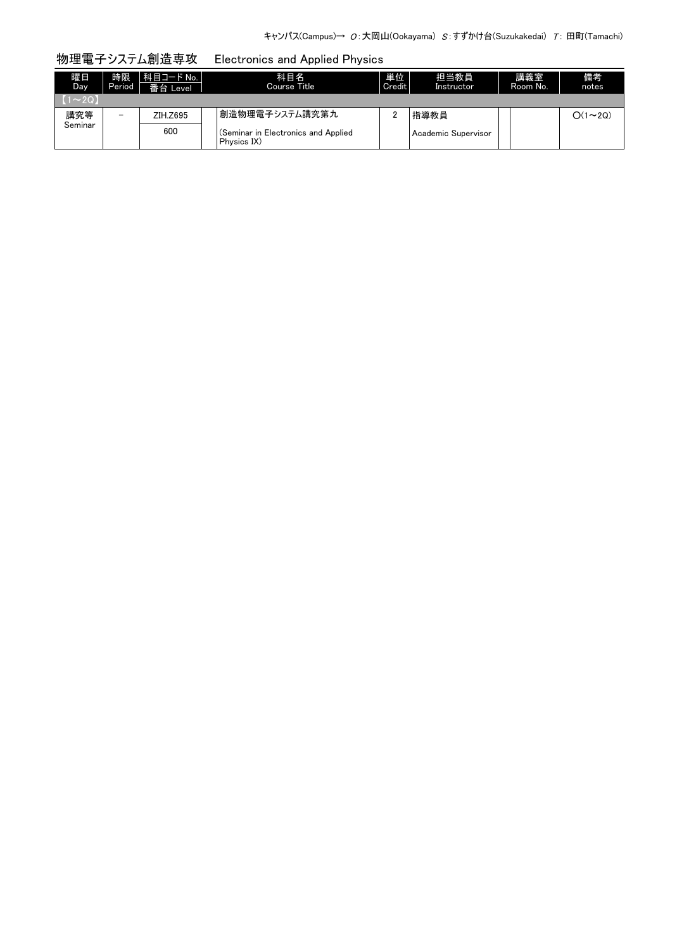# 物理電子システム創造専攻 Electronics and Applied Physics

| 曜日<br>Day. | 時限<br>Period | 科目コード No.<br>番台 Level | 科目名<br>Course Title                                | 単位<br>Credit | 担当教員<br>Instructor  | 講義室<br>Room No. | 備考<br>notes   |
|------------|--------------|-----------------------|----------------------------------------------------|--------------|---------------------|-----------------|---------------|
| $1 - 20.$  |              |                       |                                                    |              |                     |                 |               |
| 講究等        | -            | ZIH.Z695              | 創造物理電子システム講究第九                                     |              | 指導教員                |                 | $O(1\sim 2Q)$ |
| Seminar    |              | 600                   | (Seminar in Electronics and Applied<br>Physics IX) |              | Academic Supervisor |                 |               |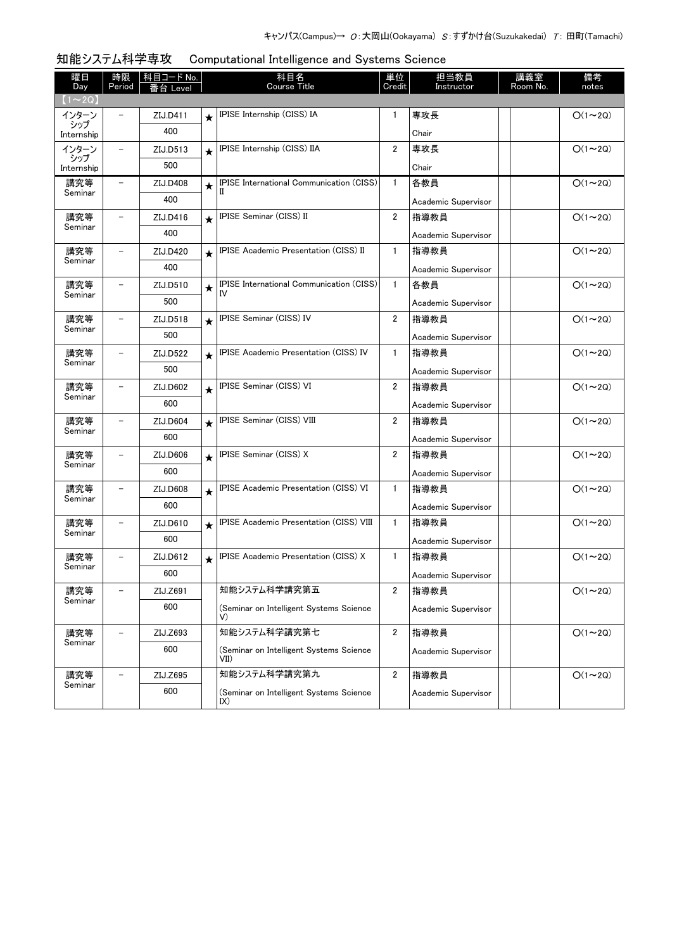| 曜日<br>Day                     | 時限<br>Period             | 科目コード No. |         | 科目名<br><b>Course Title</b>                           | 単位<br>Credit   | 担当教員<br>Instructor  | 講義室<br>Room No. | 備考<br>notes   |
|-------------------------------|--------------------------|-----------|---------|------------------------------------------------------|----------------|---------------------|-----------------|---------------|
| $(1\!\thicksim\!2\mathrm{Q})$ |                          |           |         |                                                      |                |                     |                 |               |
| インターン                         |                          | ZIJ.D411  | $\star$ | IPISE Internship (CISS) IA                           | $\mathbf{1}$   | 専攻長                 |                 | $O(1\sim 2Q)$ |
| シップ<br>Internship             |                          | 400       |         |                                                      |                | Chair               |                 |               |
| インターン                         |                          | ZIJ.D513  | $\star$ | IPISE Internship (CISS) IIA                          | 2              | 専攻長                 |                 | $O(1\sim 2Q)$ |
| シップ<br>Internship             |                          | 500       |         |                                                      |                | Chair               |                 |               |
| 講究等                           |                          | ZIJ.D408  | $\star$ | <b>IPISE International Communication (CISS)</b><br>П | $\mathbf{1}$   | 各教員                 |                 | $O(1\sim 2Q)$ |
| Seminar                       |                          | 400       |         |                                                      |                | Academic Supervisor |                 |               |
| 講究等                           |                          | ZIJ.D416  | $\star$ | IPISE Seminar (CISS) II                              | 2              | 指導教員                |                 | $O(1\sim 2Q)$ |
| Seminar                       |                          | 400       |         |                                                      |                | Academic Supervisor |                 |               |
| 講究等                           |                          | ZIJ.D420  | $\star$ | IPISE Academic Presentation (CISS) II                | $\mathbf{1}$   | 指導教員                |                 | $O(1\sim 2Q)$ |
| Seminar                       |                          | 400       |         |                                                      |                | Academic Supervisor |                 |               |
| 講究等                           |                          | ZIJ.D510  | $\star$ | IPISE International Communication (CISS)<br>IV       | $\mathbf{1}$   | 各教員                 |                 | $O(1\sim 2Q)$ |
| Seminar                       |                          | 500       |         |                                                      |                | Academic Supervisor |                 |               |
| 講究等                           |                          | ZIJ.D518  | $\star$ | IPISE Seminar (CISS) IV                              | $\overline{2}$ | 指導教員                |                 | $O(1\sim 2Q)$ |
| Seminar                       |                          | 500       |         |                                                      |                | Academic Supervisor |                 |               |
| 講究等                           |                          | ZIJ.D522  | $\star$ | <b>IPISE Academic Presentation (CISS) IV</b>         | 1              | 指導教員                |                 | $O(1\sim 2Q)$ |
| Seminar                       |                          | 500       |         |                                                      |                | Academic Supervisor |                 |               |
| 講究等                           |                          | ZIJ.D602  | $\star$ | IPISE Seminar (CISS) VI                              | $\overline{2}$ | 指導教員                |                 | $O(1\sim 2Q)$ |
| Seminar                       |                          | 600       |         |                                                      |                | Academic Supervisor |                 |               |
| 講究等<br>Seminar                |                          | ZIJ.D604  | $\star$ | IPISE Seminar (CISS) VIII                            | 2              | 指導教員                |                 | $O(1\sim 2Q)$ |
|                               |                          | 600       |         |                                                      |                | Academic Supervisor |                 |               |
| 講究等<br>Seminar                | $\equiv$                 | ZIJ.D606  | $\star$ | IPISE Seminar (CISS) X                               | $\overline{2}$ | 指導教員                |                 | $O(1\sim 2Q)$ |
|                               |                          | 600       |         |                                                      |                | Academic Supervisor |                 |               |
| 講究等<br>Seminar                |                          | ZIJ.D608  | $\star$ | IPISE Academic Presentation (CISS) VI                | $\mathbf{1}$   | 指導教員                |                 | $O(1\sim 2Q)$ |
|                               |                          | 600       |         |                                                      |                | Academic Supervisor |                 |               |
| 講究等<br>Seminar                |                          | ZIJ.D610  | $\star$ | IPISE Academic Presentation (CISS) VIII              | $\mathbf{1}$   | 指導教員                |                 | $O(1\sim 2Q)$ |
|                               |                          | 600       |         |                                                      |                | Academic Supervisor |                 |               |
| 講究等<br>Seminar                |                          | ZIJ.D612  | $\star$ | <b>IPISE Academic Presentation (CISS) X</b>          | 1              | 指導教員                |                 | $O(1\sim 2Q)$ |
|                               |                          | 600       |         |                                                      |                | Academic Supervisor |                 |               |
| 講究等<br>Seminar                |                          | ZIJ.Z691  |         | 知能システム科学講究第五                                         | $\overline{2}$ | 指導教員                |                 | $O(1\sim 2Q)$ |
|                               |                          | 600       |         | (Seminar on Intelligent Systems Science<br>V)        |                | Academic Supervisor |                 |               |
| 講究等                           |                          | ZIJ.Z693  |         | 知能システム科学講究第七                                         | $\overline{2}$ | 指導教員                |                 | $O(1\sim 2Q)$ |
| Seminar                       |                          | 600       |         | (Seminar on Intelligent Systems Science<br>VII)      |                | Academic Supervisor |                 |               |
| 講究等                           | $\overline{\phantom{0}}$ | ZIJ.Z695  |         | 知能システム科学講究第九                                         | $\overline{2}$ | 指導教員                |                 | $O(1\sim 2Q)$ |
| Seminar                       |                          | 600       |         | (Seminar on Intelligent Systems Science<br>IX)       |                | Academic Supervisor |                 |               |

知能システム科学専攻 Computational Intelligence and Systems Science